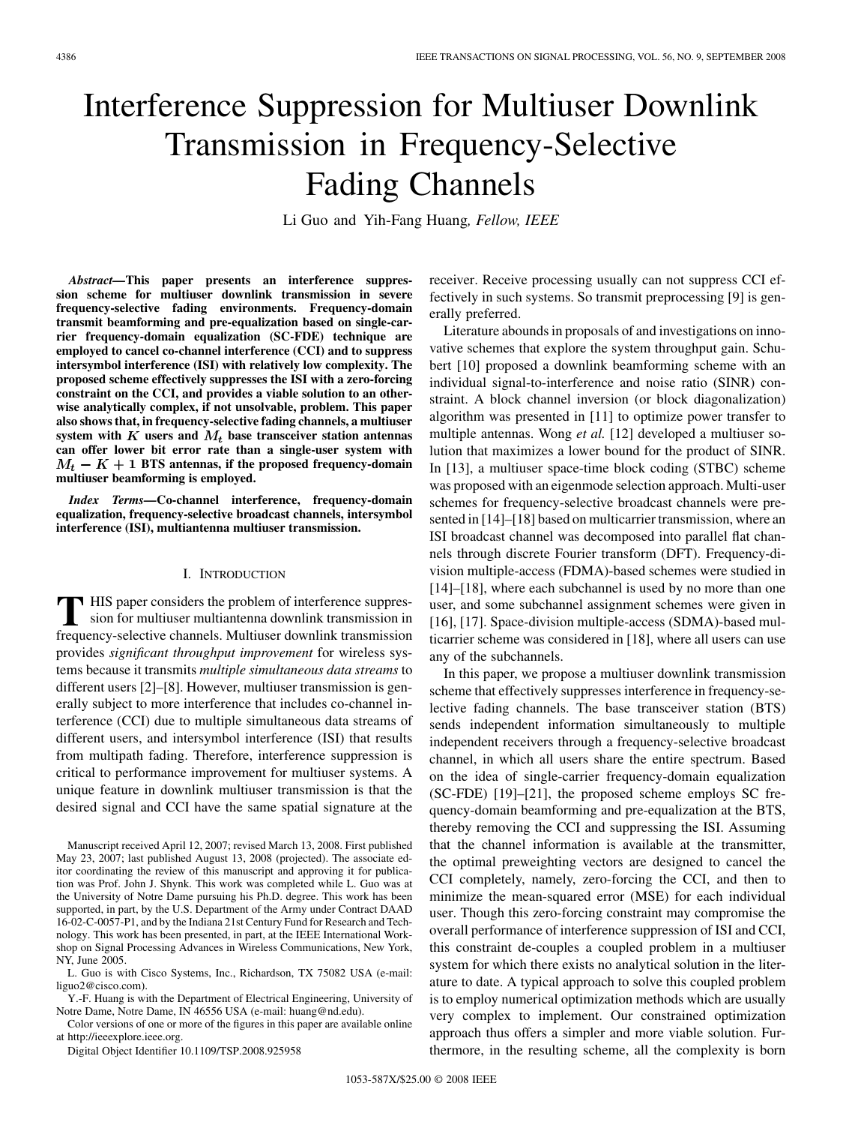# Interference Suppression for Multiuser Downlink Transmission in Frequency-Selective Fading Channels

Li Guo and Yih-Fang Huang*, Fellow, IEEE*

*Abstract—***This paper presents an interference suppression scheme for multiuser downlink transmission in severe frequency-selective fading environments. Frequency-domain transmit beamforming and pre-equalization based on single-carrier frequency-domain equalization (SC-FDE) technique are employed to cancel co-channel interference (CCI) and to suppress intersymbol interference (ISI) with relatively low complexity. The proposed scheme effectively suppresses the ISI with a zero-forcing constraint on the CCI, and provides a viable solution to an otherwise analytically complex, if not unsolvable, problem. This paper also shows that, in frequency-selective fading channels, a multiuser** system with  $K$  users and  $M_t$  base transceiver station antennas **can offer lower bit error rate than a single-user system with**  $M_t - K + 1$  BTS antennas, if the proposed frequency-domain **multiuser beamforming is employed.**

*Index Terms—***Co-channel interference, frequency-domain equalization, frequency-selective broadcast channels, intersymbol interference (ISI), multiantenna multiuser transmission.**

#### I. INTRODUCTION

**T** HIS paper considers the problem of interference suppres-<br>sion for multiuser multiantenna downlink transmission in frequency-selective channels. Multiuser downlink transmission provides *significant throughput improvement* for wireless systems because it transmits *multiple simultaneous data streams* to different users [2]–[8]. However, multiuser transmission is generally subject to more interference that includes co-channel interference (CCI) due to multiple simultaneous data streams of different users, and intersymbol interference (ISI) that results from multipath fading. Therefore, interference suppression is critical to performance improvement for multiuser systems. A unique feature in downlink multiuser transmission is that the desired signal and CCI have the same spatial signature at the

L. Guo is with Cisco Systems, Inc., Richardson, TX 75082 USA (e-mail: liguo2@cisco.com).

Y.-F. Huang is with the Department of Electrical Engineering, University of Notre Dame, Notre Dame, IN 46556 USA (e-mail: huang@nd.edu).

Color versions of one or more of the figures in this paper are available online at http://ieeexplore.ieee.org.

Digital Object Identifier 10.1109/TSP.2008.925958

receiver. Receive processing usually can not suppress CCI effectively in such systems. So transmit preprocessing [9] is generally preferred.

Literature abounds in proposals of and investigations on innovative schemes that explore the system throughput gain. Schubert [10] proposed a downlink beamforming scheme with an individual signal-to-interference and noise ratio (SINR) constraint. A block channel inversion (or block diagonalization) algorithm was presented in [11] to optimize power transfer to multiple antennas. Wong *et al.* [12] developed a multiuser solution that maximizes a lower bound for the product of SINR. In [13], a multiuser space-time block coding (STBC) scheme was proposed with an eigenmode selection approach. Multi-user schemes for frequency-selective broadcast channels were presented in [14]–[18] based on multicarrier transmission, where an ISI broadcast channel was decomposed into parallel flat channels through discrete Fourier transform (DFT). Frequency-division multiple-access (FDMA)-based schemes were studied in [14]–[18], where each subchannel is used by no more than one user, and some subchannel assignment schemes were given in [16], [17]. Space-division multiple-access (SDMA)-based multicarrier scheme was considered in [18], where all users can use any of the subchannels.

In this paper, we propose a multiuser downlink transmission scheme that effectively suppresses interference in frequency-selective fading channels. The base transceiver station (BTS) sends independent information simultaneously to multiple independent receivers through a frequency-selective broadcast channel, in which all users share the entire spectrum. Based on the idea of single-carrier frequency-domain equalization (SC-FDE) [19]–[21], the proposed scheme employs SC frequency-domain beamforming and pre-equalization at the BTS, thereby removing the CCI and suppressing the ISI. Assuming that the channel information is available at the transmitter, the optimal preweighting vectors are designed to cancel the CCI completely, namely, zero-forcing the CCI, and then to minimize the mean-squared error (MSE) for each individual user. Though this zero-forcing constraint may compromise the overall performance of interference suppression of ISI and CCI, this constraint de-couples a coupled problem in a multiuser system for which there exists no analytical solution in the literature to date. A typical approach to solve this coupled problem is to employ numerical optimization methods which are usually very complex to implement. Our constrained optimization approach thus offers a simpler and more viable solution. Furthermore, in the resulting scheme, all the complexity is born

Manuscript received April 12, 2007; revised March 13, 2008. First published May 23, 2007; last published August 13, 2008 (projected). The associate editor coordinating the review of this manuscript and approving it for publication was Prof. John J. Shynk. This work was completed while L. Guo was at the University of Notre Dame pursuing his Ph.D. degree. This work has been supported, in part, by the U.S. Department of the Army under Contract DAAD 16-02-C-0057-P1, and by the Indiana 21st Century Fund for Research and Technology. This work has been presented, in part, at the IEEE International Workshop on Signal Processing Advances in Wireless Communications, New York, NY, June 2005.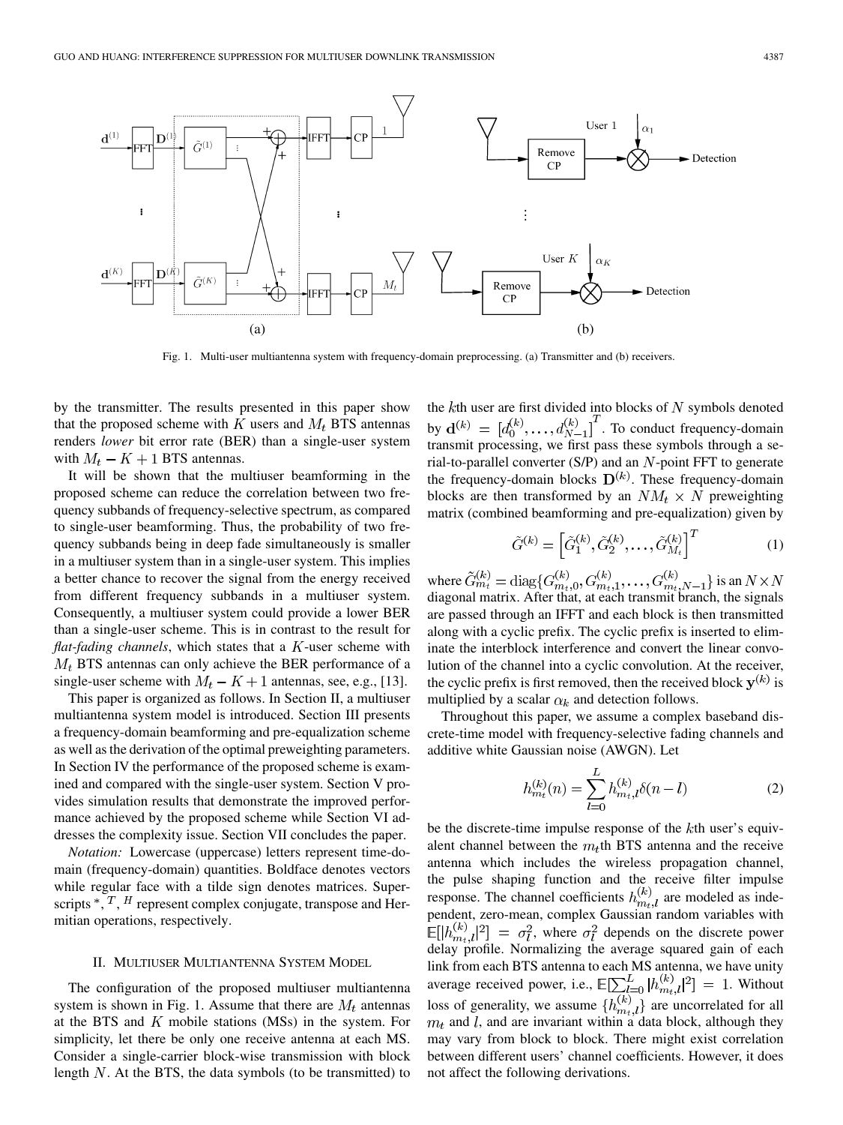

Fig. 1. Multi-user multiantenna system with frequency-domain preprocessing. (a) Transmitter and (b) receivers.

by the transmitter. The results presented in this paper show that the proposed scheme with  $K$  users and  $M_t$  BTS antennas renders *lower* bit error rate (BER) than a single-user system with  $M_t - K + 1$  BTS antennas.

It will be shown that the multiuser beamforming in the proposed scheme can reduce the correlation between two frequency subbands of frequency-selective spectrum, as compared to single-user beamforming. Thus, the probability of two frequency subbands being in deep fade simultaneously is smaller in a multiuser system than in a single-user system. This implies a better chance to recover the signal from the energy received from different frequency subbands in a multiuser system. Consequently, a multiuser system could provide a lower BER than a single-user scheme. This is in contrast to the result for *flat-fading channels*, which states that a  $K$ -user scheme with  $M_t$  BTS antennas can only achieve the BER performance of a single-user scheme with  $M_t - K + 1$  antennas, see, e.g., [13].

This paper is organized as follows. In Section II, a multiuser multiantenna system model is introduced. Section III presents a frequency-domain beamforming and pre-equalization scheme as well as the derivation of the optimal preweighting parameters. In Section IV the performance of the proposed scheme is examined and compared with the single-user system. Section V provides simulation results that demonstrate the improved performance achieved by the proposed scheme while Section VI addresses the complexity issue. Section VII concludes the paper.

*Notation:* Lowercase (uppercase) letters represent time-domain (frequency-domain) quantities. Boldface denotes vectors while regular face with a tilde sign denotes matrices. Superscripts  $\overline{A}$ ,  $\overline{A}$ ,  $H$  represent complex conjugate, transpose and Hermitian operations, respectively.

#### II. MULTIUSER MULTIANTENNA SYSTEM MODEL

The configuration of the proposed multiuser multiantenna system is shown in Fig. 1. Assume that there are  $M_t$  antennas at the BTS and  $K$  mobile stations (MSs) in the system. For simplicity, let there be only one receive antenna at each MS. Consider a single-carrier block-wise transmission with block length  $N$ . At the BTS, the data symbols (to be transmitted) to the  $k$ th user are first divided into blocks of  $N$  symbols denoted by  $\mathbf{d}^{(k)} = [d_0^{(k)}, \dots, d_{N-1}^{(k)}]$ . To conduct frequency-domain transmit processing, we first pass these symbols through a serial-to-parallel converter  $(S/P)$  and an  $N$ -point FFT to generate the frequency-domain blocks  $D^{(k)}$ . These frequency-domain blocks are then transformed by an  $NM_t \times N$  preweighting matrix (combined beamforming and pre-equalization) given by

$$
\tilde{G}^{(k)} = \left[\tilde{G}_1^{(k)}, \tilde{G}_2^{(k)}, \dots, \tilde{G}_{M_t}^{(k)}\right]^T \tag{1}
$$

where  $G_{m_t}^{(\kappa)} = \text{diag}\{G_{m_t,0}^{(\kappa)}, G_{m_t,1}^{(\kappa)}, \ldots, G_{m_t,N-1}^{(\kappa)}\}$  is an diagonal matrix. After that, at each transmit branch, the signals are passed through an IFFT and each block is then transmitted along with a cyclic prefix. The cyclic prefix is inserted to eliminate the interblock interference and convert the linear convolution of the channel into a cyclic convolution. At the receiver, the cyclic prefix is first removed, then the received block  $y^{(k)}$  is multiplied by a scalar  $\alpha_k$  and detection follows.

Throughout this paper, we assume a complex baseband discrete-time model with frequency-selective fading channels and additive white Gaussian noise (AWGN). Let

$$
h_{m_t}^{(k)}(n) = \sum_{l=0}^{L} h_{m_t,l}^{(k)} \delta(n-l)
$$
 (2)

be the discrete-time impulse response of the  $k$ th user's equivalent channel between the  $m<sub>t</sub>$ th BTS antenna and the receive antenna which includes the wireless propagation channel, the pulse shaping function and the receive filter impulse response. The channel coefficients  $h_{m_t,l}^{(k)}$  are modeled as independent, zero-mean, complex Gaussian random variables with  $\mathbb{E}[|h_{m_t,l}^{(k)}|^2] = \sigma_l^2$ , where  $\sigma_l^2$  depends on the discrete power delay profile. Normalizing the average squared gain of each link from each BTS antenna to each MS antenna, we have unity average received power, i.e.,  $\mathbb{E}[\sum_{l=0}^{L} |h_{m_l,l}^{(k)}|^2] = 1$ . Without loss of generality, we assume  $\{h_{m}^{(\kappa)}\}$  are uncorrelated for all  $m_t$  and l, and are invariant within a data block, although they may vary from block to block. There might exist correlation between different users' channel coefficients. However, it does not affect the following derivations.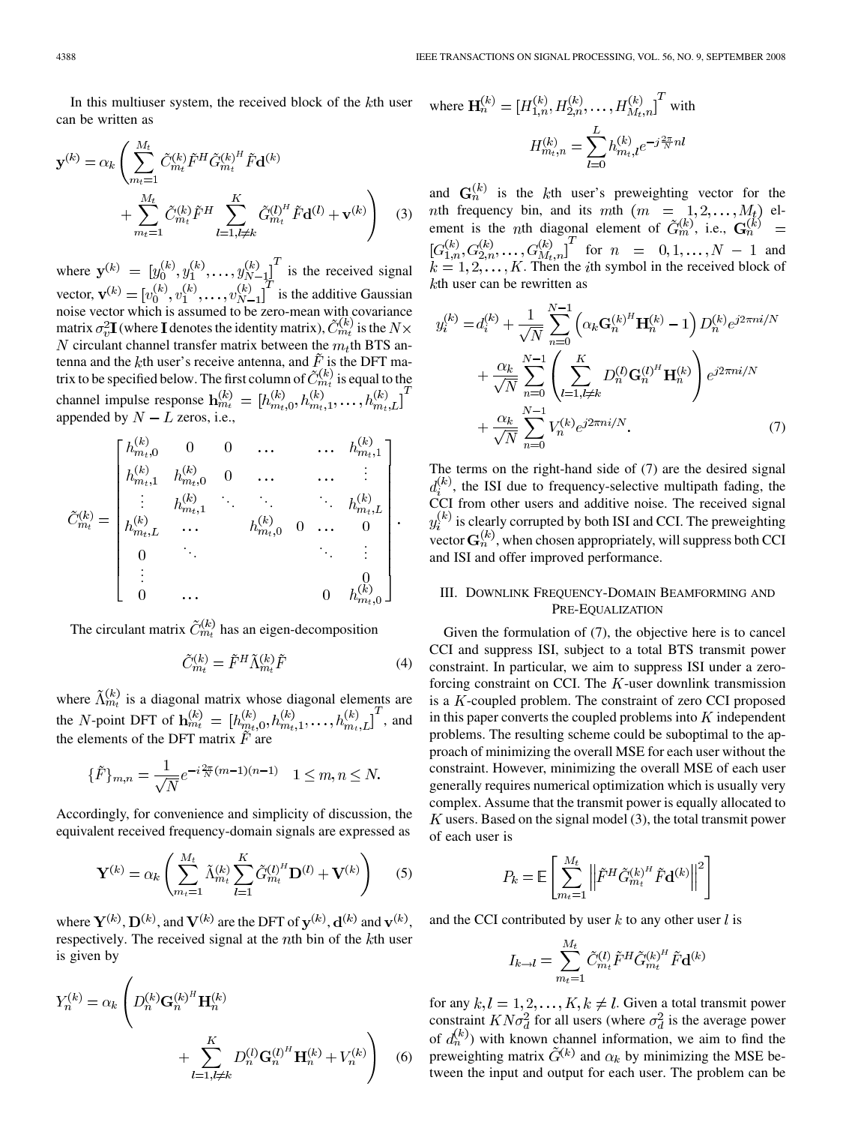In this multiuser system, the received block of the  $k$ th user can be written as

$$
\mathbf{y}^{(k)} = \alpha_k \left( \sum_{m_t=1}^{M_t} \tilde{C}_{m_t}^{(k)} \tilde{F}^H \tilde{G}_{m_t}^{(k)^H} \tilde{F} \mathbf{d}^{(k)} + \sum_{m_t=1}^{M_t} \tilde{C}_{m_t}^{(k)} \tilde{F}^H \sum_{l=1, l \neq k}^{K} \tilde{G}_{m_t}^{(l)^H} \tilde{F} \mathbf{d}^{(l)} + \mathbf{v}^{(k)} \right)
$$
(3)

where  $\mathbf{y}^{(k)} = [y_0^{(k)}, y_1^{(k)}, \dots, y_{N-1}^{(k)}]$  is the received signal vector,  $\mathbf{v}^{(k)} = [v_0^{(k)}, v_1^{(k)}, \dots, v_{N-1}^{(k)}]$  is the additive Gaussian noise vector which is assumed to be zero-mean with covariance matrix  $\sigma_v^2 \mathbf{I}$  (where **I** denotes the identity matrix),  $C_{m_t}^{(\kappa)}$  is the circulant channel transfer matrix between the  $m_t$ th BTS antenna and the kth user's receive antenna, and  $\tilde{F}$  is the DFT matrix to be specified below. The first column of  $\tilde{C}_{m_t}^{(k)}$  is equal to the channel impulse response  $\mathbf{h}_{m_t}^{(k)} = [h_{m_t,0}^{(k)}, h_{m_t,1}^{(k)}, \ldots, h_{m_t,L}^{(k)}]^T$ appended by  $N - L$  zeros, i.e.,

$$
\tilde{C}_{m_t}^{(k)} = \begin{bmatrix} h_{m_t,0}^{(k)} & 0 & 0 & \cdots & \cdots & h_{m_t,1}^{(k)} \\ h_{m_t,1}^{(k)} & h_{m_t,0}^{(k)} & 0 & \cdots & \cdots & \vdots \\ \vdots & h_{m_t,1}^{(k)} & \ddots & \ddots & \ddots & h_{m_t,L}^{(k)} \\ h_{m_t,L}^{(k)} & \cdots & h_{m_t,0}^{(k)} & 0 & \cdots & 0 \\ 0 & \ddots & & & \ddots & \vdots \\ \vdots & & & & 0 \\ 0 & \cdots & & & 0 & h_{m_t,0}^{(k)} \end{bmatrix}.
$$

The circulant matrix  $\tilde{C}_{m}^{(k)}$  has an eigen-decomposition

$$
\tilde{C}_{m_t}^{(k)} = \tilde{F}^H \tilde{\Lambda}_{m_t}^{(k)} \tilde{F}
$$
\n(4)

where  $\Lambda_{m_t}^{(\kappa)}$  is a diagonal matrix whose diagonal elements are the N-point DFT of  $h_{m_t}^{(\kappa)} = [h_{m_t,0}^{(\kappa)}, h_{m_t,1}^{(\kappa)}, \dots, h_{m_t,L}^{(\kappa)}]$ , and the elements of the DFT matrix  $\tilde{F}$  are

$$
\{\tilde{F}\}_{m,n} = \frac{1}{\sqrt{N}} e^{-i\frac{2\pi}{N}(m-1)(n-1)} \quad 1 \le m, n \le N.
$$

Accordingly, for convenience and simplicity of discussion, the equivalent received frequency-domain signals are expressed as

$$
\mathbf{Y}^{(k)} = \alpha_k \left( \sum_{m_t=1}^{M_t} \tilde{\Lambda}_{m_t}^{(k)} \sum_{l=1}^K \tilde{G}_{m_t}^{(l)^H} \mathbf{D}^{(l)} + \mathbf{V}^{(k)} \right) \tag{5}
$$

where  $Y^{(k)}$ ,  $D^{(k)}$ , and  $V^{(k)}$  are the DFT of  $y^{(k)}$ ,  $d^{(k)}$  and  $v^{(k)}$ . respectively. The received signal at the  $n$ th bin of the  $k$ th user is given by

$$
Y_n^{(k)} = \alpha_k \left( D_n^{(k)} \mathbf{G}_n^{(k)^H} \mathbf{H}_n^{(k)} + \sum_{l=1, l \neq k}^K D_n^{(l)} \mathbf{G}_n^{(l)^H} \mathbf{H}_n^{(k)} + V_n^{(k)} \right)
$$
 (6)

where 
$$
\mathbf{H}_n^{(k)} = [H_{1,n}^{(k)}, H_{2,n}^{(k)}, \dots, H_{M_t,n}^{(k)}]^T
$$
 with  

$$
H_{m_t,n}^{(k)} = \sum_{l=0}^{L} h_{m_t,l}^{(k)} e^{-j\frac{2\pi}{N}nl}
$$

and  $G_n^{(k)}$  is the kth user's preweighting vector for the nth frequency bin, and its mth  $(m = 1, 2, ..., M_t)$  element is the *n*th diagonal element of  $G_m^{(\kappa)}$ , i.e., for  $n = 0, 1, \ldots, N - 1$  and . Then the  $i$ th symbol in the received block of  $k$ th user can be rewritten as

$$
y_i^{(k)} = d_i^{(k)} + \frac{1}{\sqrt{N}} \sum_{n=0}^{N-1} \left( \alpha_k \mathbf{G}_n^{(k)^H} \mathbf{H}_n^{(k)} - 1 \right) D_n^{(k)} e^{j2\pi n i/N} + \frac{\alpha_k}{\sqrt{N}} \sum_{n=0}^{N-1} \left( \sum_{l=1, l \neq k}^{K} D_n^{(l)} \mathbf{G}_n^{(l)^H} \mathbf{H}_n^{(k)} \right) e^{j2\pi n i/N} + \frac{\alpha_k}{\sqrt{N}} \sum_{n=0}^{N-1} V_n^{(k)} e^{j2\pi n i/N}.
$$
 (7)

The terms on the right-hand side of (7) are the desired signal  $d_i^{(k)}$ , the ISI due to frequency-selective multipath fading, the CCI from other users and additive noise. The received signal  $y_i^{(k)}$  is clearly corrupted by both ISI and CCI. The preweighting vector  $G_n^{(k)}$ , when chosen appropriately, will suppress both CCI and ISI and offer improved performance.

## III. DOWNLINK FREQUENCY-DOMAIN BEAMFORMING AND PRE-EQUALIZATION

Given the formulation of (7), the objective here is to cancel CCI and suppress ISI, subject to a total BTS transmit power constraint. In particular, we aim to suppress ISI under a zeroforcing constraint on CCI. The  $K$ -user downlink transmission is a  $K$ -coupled problem. The constraint of zero CCI proposed in this paper converts the coupled problems into  $K$  independent problems. The resulting scheme could be suboptimal to the approach of minimizing the overall MSE for each user without the constraint. However, minimizing the overall MSE of each user generally requires numerical optimization which is usually very complex. Assume that the transmit power is equally allocated to  $K$  users. Based on the signal model (3), the total transmit power of each user is

$$
P_k = \mathbb{E}\left[\sum_{m_t=1}^{M_t} \left\| \tilde{F}^H \tilde{G}_{m_t}^{(k)^H} \tilde{F} \mathbf{d}^{(k)} \right\|^2\right]
$$

and the CCI contributed by user  $k$  to any other user  $l$  is

$$
I_{k\rightarrow l} = \sum_{m_t=1}^{M_t} \tilde{C}_{m_t}^{(l)} \tilde{F}^H \tilde{G}_{m_t}^{(k)^H} \tilde{F} \mathbf{d}^{(k)}
$$

for any  $k, l = 1, 2, ..., K, k \neq l$ . Given a total transmit power constraint  $KN\sigma_d^2$  for all users (where  $\sigma_d^2$  is the average power of  $d_n^{(k)}$ ) with known channel information, we aim to find the preweighting matrix  $\tilde{G}^{(k)}$  and  $\alpha_k$  by minimizing the MSE between the input and output for each user. The problem can be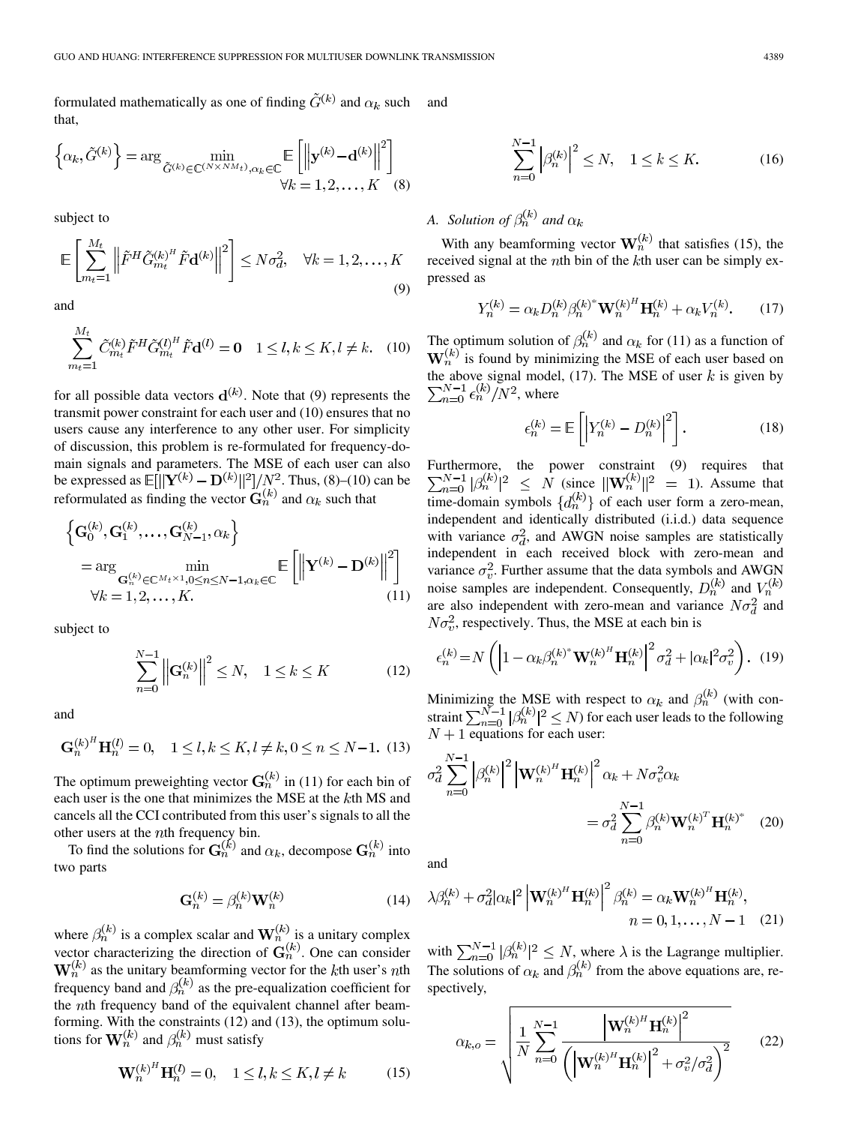formulated mathematically as one of finding  $\tilde{G}^{(k)}$  and  $\alpha_k$  such that, and

$$
\left\{\alpha_k, \tilde{G}^{(k)}\right\} = \arg\min_{\tilde{G}^{(k)} \in \mathbb{C}^{\left(N \times NM_t\right)}, \alpha_k \in \mathbb{C}} \mathbb{E}\left[\left\|\mathbf{y}^{(k)} - \mathbf{d}^{(k)}\right\|^2\right] \times k = 1, 2, \dots, K
$$
 (8)

subject to

$$
\mathbb{E}\left[\sum_{m_t=1}^{M_t} \left\| \tilde{F}^H \tilde{G}_{m_t}^{(k)^H} \tilde{F} \mathbf{d}^{(k)} \right\|^2 \right] \le N\sigma_d^2, \quad \forall k = 1, 2, \dots, K
$$
\n(9)

and

$$
\sum_{m_t=1}^{M_t} \tilde{C}_{m_t}^{(k)} \tilde{F}^H \tilde{G}_{m_t}^{(l)^H} \tilde{F} \mathbf{d}^{(l)} = \mathbf{0} \quad 1 \le l, k \le K, l \ne k. \tag{10}
$$

for all possible data vectors  $\mathbf{d}^{(k)}$ . Note that (9) represents the transmit power constraint for each user and (10) ensures that no users cause any interference to any other user. For simplicity of discussion, this problem is re-formulated for frequency-domain signals and parameters. The MSE of each user can also be expressed as  $E[||{\bf Y}^{(k)} - {\bf D}^{(k)}||^2]/N^2$ . Thus, (8)–(10) can be reformulated as finding the vector  $\mathbf{G}_n^{(\kappa)}$  and  $\alpha_k$  such that

$$
\left\{ \mathbf{G}_{0}^{(k)}, \mathbf{G}_{1}^{(k)}, \ldots, \mathbf{G}_{N-1}^{(k)}, \alpha_{k} \right\}
$$
\n
$$
= \arg \min_{\mathbf{G}_{n}^{(k)} \in \mathbb{C}^{M_{t} \times 1}, 0 \leq n \leq N-1, \alpha_{k} \in \mathbb{C}} \mathbb{E} \left[ \left\| \mathbf{Y}^{(k)} - \mathbf{D}^{(k)} \right\|^{2} \right]
$$
\n
$$
\forall k = 1, 2, \ldots, K.
$$
\n(11)

subject to

$$
\sum_{n=0}^{N-1} \left\| \mathbf{G}_n^{(k)} \right\|^2 \le N, \quad 1 \le k \le K \tag{12}
$$

and

$$
\mathbf{G}_n^{(k)^H} \mathbf{H}_n^{(l)} = 0, \quad 1 \le l, k \le K, l \ne k, 0 \le n \le N - 1. \tag{13}
$$

The optimum preweighting vector  $G_n^{(k)}$  in (11) for each bin of each user is the one that minimizes the MSE at the  $k$ th MS and cancels all the CCI contributed from this user's signals to all the other users at the  $n$ th frequency bin.

To find the solutions for  $G_n^{(k)}$  and  $\alpha_k$ , decompose  $G_n^{(k)}$  into two parts

$$
\mathbf{G}_n^{(k)} = \beta_n^{(k)} \mathbf{W}_n^{(k)} \tag{14}
$$

where  $\beta_n^{(k)}$  is a complex scalar and  $\mathbf{W}_n^{(k)}$  is a unitary complex vector characterizing the direction of  $G_n^{(k)}$ . One can consider  $\mathbf{W}_n^{(k)}$  as the unitary beamforming vector for the kth user's nth frequency band and  $\beta_n^{(k)}$  as the pre-equalization coefficient for the *th frequency band of the equivalent channel after beam*forming. With the constraints (12) and (13), the optimum solutions for  $\mathbf{W}_n^{(k)}$  and  $\beta_n^{(k)}$  must satisfy

$$
\mathbf{W}_n^{(k)^H} \mathbf{H}_n^{(l)} = 0, \quad 1 \le l, k \le K, l \ne k \tag{15}
$$

$$
\sum_{n=0}^{N-1} |\beta_n^{(k)}|^2 \le N, \quad 1 \le k \le K.
$$
 (16)

*A. Solution of*  $\beta_n^{(k)}$  *and*  $\alpha_k$ 

With any beamforming vector  $\mathbf{W}_n^{(k)}$  that satisfies (15), the received signal at the  $n$ th bin of the  $k$ th user can be simply expressed as

$$
Y_n^{(k)} = \alpha_k D_n^{(k)} \beta_n^{(k)^*} \mathbf{W}_n^{(k)^H} \mathbf{H}_n^{(k)} + \alpha_k V_n^{(k)}.
$$
 (17)

The optimum solution of  $\beta_n^{(k)}$  and  $\alpha_k$  for (11) as a function of  $W_n^{(k)}$  is found by minimizing the MSE of each user based on the above signal model,  $(17)$ . The MSE of user k is given by , where

$$
\epsilon_n^{(k)} = \mathbb{E}\left[\left|Y_n^{(k)} - D_n^{(k)}\right|^2\right].\tag{18}
$$

Furthermore, the power constraint (9) requires that (since  $\|\mathbf{W}_n^{(k)}\|^2 = 1$ ). Assume that time-domain symbols  $\{d_n^{(\kappa)}\}$  of each user form a zero-mean, independent and identically distributed (i.i.d.) data sequence with variance  $\sigma_d^2$ , and AWGN noise samples are statistically independent in each received block with zero-mean and variance  $\sigma_v^2$ . Further assume that the data symbols and AWGN noise samples are independent. Consequently,  $D_n^{(k)}$  and  $V_n^{(k)}$ are also independent with zero-mean and variance  $N\sigma_d^2$  and  $N\sigma_v^2$ , respectively. Thus, the MSE at each bin is

$$
\epsilon_n^{(k)} = N \left( \left| 1 - \alpha_k \beta_n^{(k)^*} \mathbf{W}_n^{(k)^H} \mathbf{H}_n^{(k)} \right|^2 \sigma_d^2 + |\alpha_k|^2 \sigma_v^2 \right). \tag{19}
$$

Minimizing the MSE with respect to  $\alpha_k$  and  $\beta_n^{(k)}$  (with constraint  $\sum_{n=0}^{N-1} |\beta_n^{(\kappa)}|^2 \leq N$ ) for each user leads to the following  $N+1$  equations for each user:

$$
\sigma_d^2 \sum_{n=0}^{N-1} \left| \beta_n^{(k)} \right|^2 \left| \mathbf{W}_n^{(k)H} \mathbf{H}_n^{(k)} \right|^2 \alpha_k + N \sigma_v^2 \alpha_k
$$

$$
= \sigma_d^2 \sum_{n=0}^{N-1} \beta_n^{(k)} \mathbf{W}_n^{(k)T} \mathbf{H}_n^{(k)^*} \quad (20)
$$

and

$$
\lambda \beta_n^{(k)} + \sigma_d^2 |\alpha_k|^2 \left| \mathbf{W}_n^{(k)H} \mathbf{H}_n^{(k)} \right|^2 \beta_n^{(k)} = \alpha_k \mathbf{W}_n^{(k)H} \mathbf{H}_n^{(k)},
$$
  
\n
$$
n = 0, 1, ..., N - 1 \quad (21)
$$

with  $\sum_{n=0}^{N-1} |\beta_n^{(k)}|^2 \leq N$ , where  $\lambda$  is the Lagrange multiplier. The solutions of  $\alpha_k$  and  $\beta_n^{(k)}$  from the above equations are, respectively,

$$
\alpha_{k,o} = \sqrt{\frac{1}{N} \sum_{n=0}^{N-1} \frac{\left| \mathbf{W}_n^{(k)H} \mathbf{H}_n^{(k)} \right|^2}{\left( \left| \mathbf{W}_n^{(k)H} \mathbf{H}_n^{(k)} \right|^2 + \sigma_v^2 / \sigma_d^2 \right)^2}}
$$
(22)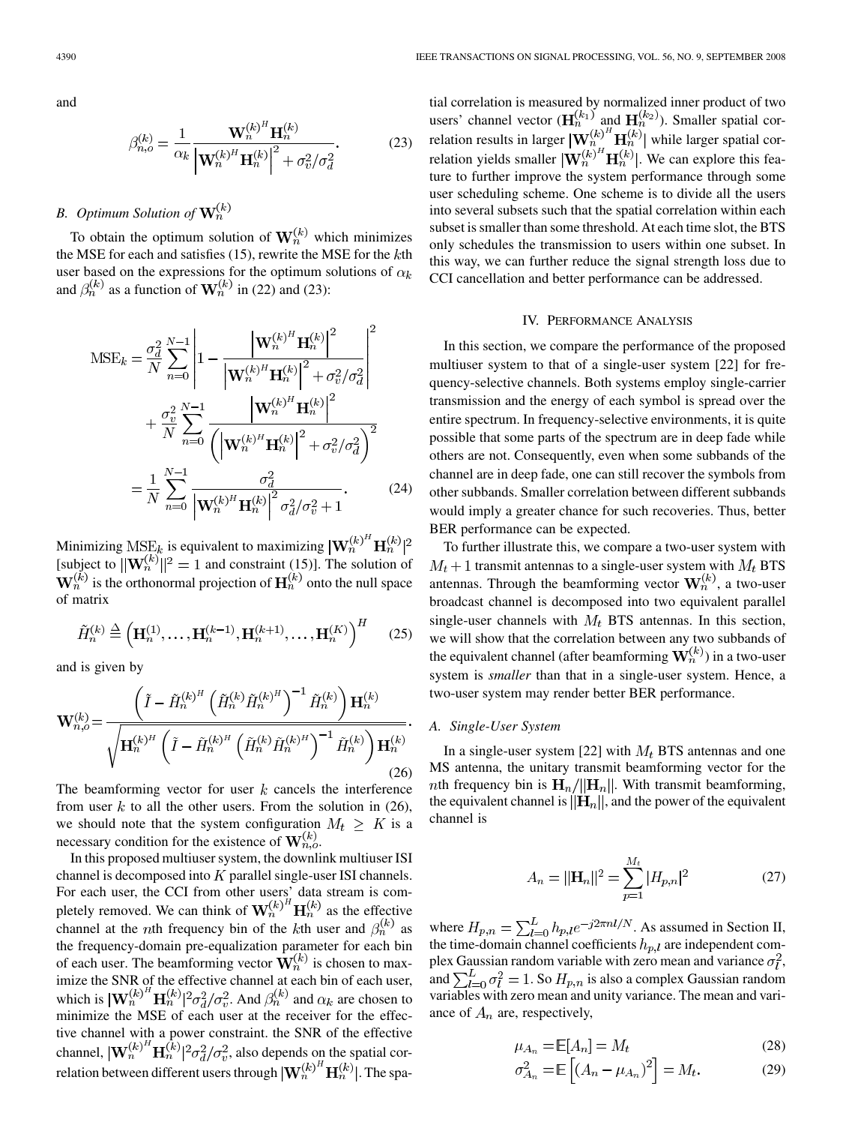and

$$
\beta_{n,o}^{(k)} = \frac{1}{\alpha_k} \frac{\mathbf{W}_n^{(k)^H} \mathbf{H}_n^{(k)}}{\left| \mathbf{W}_n^{(k)^H} \mathbf{H}_n^{(k)} \right|^2 + \sigma_v^2 / \sigma_d^2}.
$$
 (23)

## *B. Optimum Solution of*

To obtain the optimum solution of  $\mathbf{W}_n^{(k)}$  which minimizes the MSE for each and satisfies  $(15)$ , rewrite the MSE for the  $k$ th user based on the expressions for the optimum solutions of  $\alpha_k$ and  $\beta_n^{(k)}$  as a function of  $\mathbf{W}_n^{(k)}$  in (22) and (23):

$$
MSE_{k} = \frac{\sigma_{d}^{2}}{N} \sum_{n=0}^{N-1} \left| 1 - \frac{\left| \mathbf{W}_{n}^{(k)^{H}} \mathbf{H}_{n}^{(k)} \right|^{2}}{\left| \mathbf{W}_{n}^{(k)^{H}} \mathbf{H}_{n}^{(k)} \right|^{2} + \sigma_{v}^{2} / \sigma_{d}^{2}} \right|^{2} + \frac{\sigma_{v}^{2}}{N} \sum_{n=0}^{N-1} \frac{\left| \mathbf{W}_{n}^{(k)^{H}} \mathbf{H}_{n}^{(k)} \right|^{2}}{\left( \left| \mathbf{W}_{n}^{(k)^{H}} \mathbf{H}_{n}^{(k)} \right|^{2} + \sigma_{v}^{2} / \sigma_{d}^{2} \right)^{2}} = \frac{1}{N} \sum_{n=0}^{N-1} \frac{\sigma_{d}^{2}}{\left| \mathbf{W}_{n}^{(k)^{H}} \mathbf{H}_{n}^{(k)} \right|^{2} \sigma_{d}^{2} / \sigma_{v}^{2} + 1}.
$$
 (24)

Minimizing  $MSE_k$  is equivalent to maximizing  $|\mathbf{W}_n^{(k)}|^H \mathbf{H}_n^{(k)}|^2$ [subject to  $\|\mathbf{W}_n^{(k)}\|^2 = 1$  and constraint (15)]. The solution of is the orthonormal projection of  $H_n^{(\kappa)}$  onto the null space of matrix

$$
\tilde{H}_n^{(k)} \stackrel{\Delta}{=} \left(\mathbf{H}_n^{(1)}, \dots, \mathbf{H}_n^{(k-1)}, \mathbf{H}_n^{(k+1)}, \dots, \mathbf{H}_n^{(K)}\right)^H \tag{25}
$$

and is given by

$$
\mathbf{W}_{n,o}^{(k)} = \frac{\left(\tilde{I} - \tilde{H}_n^{(k)H} \left(\tilde{H}_n^{(k)} \tilde{H}_n^{(k)H}\right)^{-1} \tilde{H}_n^{(k)}\right) \mathbf{H}_n^{(k)}}{\sqrt{\mathbf{H}_n^{(k)H} \left(\tilde{I} - \tilde{H}_n^{(k)H} \left(\tilde{H}_n^{(k)} \tilde{H}_n^{(k)H}\right)^{-1} \tilde{H}_n^{(k)}\right) \mathbf{H}_n^{(k)}}}
$$
\n(26)

The beamforming vector for user  $k$  cancels the interference from user  $k$  to all the other users. From the solution in (26), we should note that the system configuration  $M_t \geq K$  is a necessary condition for the existence of  $\mathbf{W}_{n,o}^{(k)}$ .

In this proposed multiuser system, the downlink multiuser ISI channel is decomposed into  $K$  parallel single-user ISI channels. For each user, the CCI from other users' data stream is completely removed. We can think of  $\mathbf{W}_n^{(\kappa)}$   $\mathbf{H}_n^{(\kappa)}$  as the effective channel at the *n*th frequency bin of the kth user and  $\beta_n^{(k)}$  as the frequency-domain pre-equalization parameter for each bin of each user. The beamforming vector  $\mathbf{W}_n^{(k)}$  is chosen to maximize the SNR of the effective channel at each bin of each user, which is  $|\mathbf{W}_n^{(k)} \ \mathbf{H}_n^{(k)}|^2 \sigma_d^2 / \sigma_v^2$ . And  $\beta_n^{(k)}$  and  $\alpha_k$  are chosen to minimize the MSE of each user at the receiver for the effective channel with a power constraint. the SNR of the effective channel,  $|\mathbf{W}_n^{(k)} \mathbf{H}_n^{(k)}|^2 \sigma_d^2 / \sigma_v^2$ , also depends on the spatial correlation between different users through  $|\mathbf{W}_n^{(\kappa)}\> \mathbf{H}_n^{(\kappa)}|$ . The spa-

tial correlation is measured by normalized inner product of two users' channel vector  $(\mathbf{H}_n^{(k_1)} )$  and  $\mathbf{H}_n^{(k_2)}$ ). Smaller spatial correlation results in larger  $|\mathbf{W}_n^{(\kappa)}| \mathbf{H}_n^{(\kappa)}|$  while larger spatial correlation yields smaller  $|\mathbf{W}_n^{(k)}|$ . We can explore this feature to further improve the system performance through some user scheduling scheme. One scheme is to divide all the users into several subsets such that the spatial correlation within each subset is smaller than some threshold. At each time slot, the BTS only schedules the transmission to users within one subset. In this way, we can further reduce the signal strength loss due to CCI cancellation and better performance can be addressed.

## IV. PERFORMANCE ANALYSIS

In this section, we compare the performance of the proposed multiuser system to that of a single-user system [22] for frequency-selective channels. Both systems employ single-carrier transmission and the energy of each symbol is spread over the entire spectrum. In frequency-selective environments, it is quite possible that some parts of the spectrum are in deep fade while others are not. Consequently, even when some subbands of the channel are in deep fade, one can still recover the symbols from other subbands. Smaller correlation between different subbands would imply a greater chance for such recoveries. Thus, better BER performance can be expected.

To further illustrate this, we compare a two-user system with  $M_t + 1$  transmit antennas to a single-user system with  $M_t$  BTS antennas. Through the beamforming vector  $\mathbf{W}_n^{(k)}$ , a two-user broadcast channel is decomposed into two equivalent parallel single-user channels with  $M_t$  BTS antennas. In this section, we will show that the correlation between any two subbands of the equivalent channel (after beamforming  $\mathbf{W}_n^{(k)}$ ) in a two-user system is *smaller* than that in a single-user system. Hence, a two-user system may render better BER performance.

#### *A. Single-User System*

In a single-user system [22] with  $M_t$  BTS antennas and one MS antenna, the unitary transmit beamforming vector for the *nth* frequency bin is  $H_n/||H_n||$ . With transmit beamforming, the equivalent channel is  $\|\mathbf{H}_n\|$ , and the power of the equivalent channel is

$$
A_n = ||\mathbf{H}_n||^2 = \sum_{p=1}^{M_t} |H_{p,n}|^2
$$
 (27)

where  $H_{p,n} = \sum_{l=0}^{L} h_{p,l} e^{-j2\pi nl/N}$ . As assumed in Section II, the time-domain channel coefficients  $h_{p,l}$  are independent complex Gaussian random variable with zero mean and variance  $\sigma_l^2$ , and  $\sum_{l=0}^{L} \sigma_l^2 = 1$ . So  $H_{p,n}$  is also a complex Gaussian random variables with zero mean and unity variance. The mean and variance of  $A_n$  are, respectively,

$$
\mu_{A_n} = \mathbb{E}[A_n] = M_t \tag{28}
$$

$$
\sigma_{A_n}^2 = \mathbb{E}\left[ (A_n - \mu_{A_n})^2 \right] = M_t. \tag{29}
$$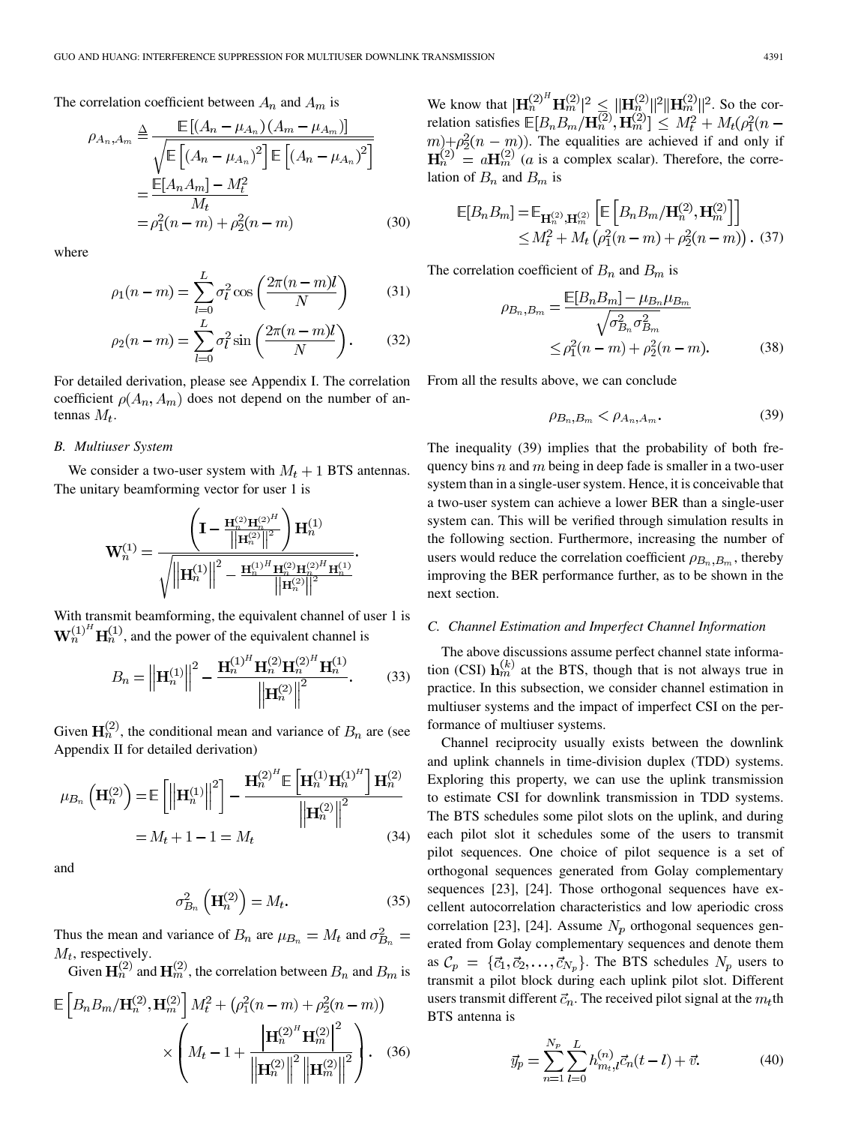The correlation coefficient between  $A_n$  and  $A_m$  is

$$
\rho_{A_n, A_m} \triangleq \frac{\mathbb{E}[(A_n - \mu_{A_n})(A_m - \mu_{A_m})]}{\sqrt{\mathbb{E}[(A_n - \mu_{A_n})^2] \mathbb{E}[(A_n - \mu_{A_n})^2]}}
$$

$$
= \frac{\mathbb{E}[A_n A_m] - M_t^2}{M_t}
$$

$$
= \rho_1^2 (n - m) + \rho_2^2 (n - m) \tag{30}
$$

where

$$
\rho_1(n-m) = \sum_{l=0}^{L} \sigma_l^2 \cos\left(\frac{2\pi(n-m)l}{N}\right) \tag{31}
$$

$$
\rho_2(n-m) = \sum_{l=0}^L \sigma_l^2 \sin\left(\frac{2\pi(n-m)l}{N}\right). \tag{32}
$$

For detailed derivation, please see Appendix I. The correlation coefficient  $\rho(A_n, A_m)$  does not depend on the number of antennas  $M_t$ .

## *B. Multiuser System*

We consider a two-user system with  $M_t + 1$  BTS antennas. The unitary beamforming vector for user 1 is

$$
\mathbf{W}_n^{(1)}=\frac{\left(\mathbf{I}-\frac{\mathbf{H}_n^{(2)}{\mathbf{H}_n^{(2)}}^H}{\left|\left|\mathbf{H}_n^{(2)}\right|\right|^2}\right)\mathbf{H}_n^{(1)}}{\sqrt{\left|\left|\mathbf{H}_n^{(1)}\right|\right|^2-\frac{\mathbf{H}_n^{(1)H}\mathbf{H}_n^{(2)}{\mathbf{H}_n^{(2)}^H\mathbf{H}_n^{(1)}}}{\left|\left|\mathbf{H}_n^{(2)}\right|\right|^2}}.
$$

With transmit beamforming, the equivalent channel of user 1 is  $\mathbf{W}_n^{(1)H} \mathbf{H}_n^{(1)}$ , and the power of the equivalent channel is

$$
B_n = \left\| \mathbf{H}_n^{(1)} \right\|^2 - \frac{\mathbf{H}_n^{(1)H} \mathbf{H}_n^{(2)} \mathbf{H}_n^{(2)H} \mathbf{H}_n^{(1)}}{\left\| \mathbf{H}_n^{(2)} \right\|^2}.
$$
 (33)

Given  $H_n^{(2)}$ , the conditional mean and variance of  $B_n$  are (see Appendix II for detailed derivation)

$$
\mu_{B_n}\left(\mathbf{H}_n^{(2)}\right) = \mathbb{E}\left[\left\|\mathbf{H}_n^{(1)}\right\|^2\right] - \frac{\mathbf{H}_n^{(2)^H} \mathbb{E}\left[\mathbf{H}_n^{(1)} \mathbf{H}_n^{(1)}\right]^H \mathbf{H}_n^{(2)}}{\left\|\mathbf{H}_n^{(2)}\right\|^2} \n= M_t + 1 - 1 = M_t
$$
\n(34)

and

$$
\sigma_{B_n}^2\left(\mathbf{H}_n^{(2)}\right) = M_t.
$$
\n(35)

Thus the mean and variance of  $B_n$  are  $\mu_{B_n} = M_t$  and  $\sigma_{B_n}^2 =$  $M_t$ , respectively.

Given  $H_n^{(2)}$  and  $H_m^{(2)}$ , the correlation between  $B_n$  and  $B_m$  is

$$
\mathbb{E}\left[B_n B_m / \mathbf{H}_n^{(2)}, \mathbf{H}_m^{(2)}\right] M_t^2 + \left(\rho_1^2 (n-m) + \rho_2^2 (n-m)\right) \times \left(M_t - 1 + \frac{\left|\mathbf{H}_n^{(2)}\right|^H \mathbf{H}_m^{(2)}\right|^2}{\left\|\mathbf{H}_n^{(2)}\right\|^2 \left\|\mathbf{H}_m^{(2)}\right\|^2}\right). \tag{36}
$$

We know that  $|\mathbf{H}_n^{(2)} \mathbf{H}_m^{(2)}|^2 \leq ||\mathbf{H}_n^{(2)}||^2 ||\mathbf{H}_m^{(2)}||^2$ . So the correlation satisfies  $(m) + \rho_2^2(n - m)$ ). The equalities are achieved if and only if  $H_n^{(2)} = aH_m^{(2)}$  (*a* is a complex scalar). Therefore, the correlation of  $B_n$  and  $B_m$  is

$$
\mathbb{E}[B_n B_m] = \mathbb{E}_{\mathbf{H}_n^{(2)}, \mathbf{H}_m^{(2)}} \left[ \mathbb{E} \left[ B_n B_m / \mathbf{H}_n^{(2)}, \mathbf{H}_m^{(2)} \right] \right] \leq M_t^2 + M_t \left( \rho_1^2 (n - m) + \rho_2^2 (n - m) \right). (37)
$$

The correlation coefficient of  $B_n$  and  $B_m$  is

$$
\rho_{B_n, B_m} = \frac{\mathbb{E}[B_n B_m] - \mu_{B_n} \mu_{B_m}}{\sqrt{\sigma_{B_n}^2 \sigma_{B_m}^2}} \le \rho_1^2 (n - m) + \rho_2^2 (n - m). \tag{38}
$$

From all the results above, we can conclude

$$
\rho_{B_n, B_m} < \rho_{A_n, A_m}.\tag{39}
$$

The inequality (39) implies that the probability of both frequency bins  $n$  and  $m$  being in deep fade is smaller in a two-user system than in a single-user system. Hence, it is conceivable that a two-user system can achieve a lower BER than a single-user system can. This will be verified through simulation results in the following section. Furthermore, increasing the number of users would reduce the correlation coefficient  $\rho_{B_n, B_m}$ , thereby improving the BER performance further, as to be shown in the next section.

#### *C. Channel Estimation and Imperfect Channel Information*

The above discussions assume perfect channel state information (CSI)  $\mathbf{h}_m^{(k)}$  at the BTS, though that is not always true in practice. In this subsection, we consider channel estimation in multiuser systems and the impact of imperfect CSI on the performance of multiuser systems.

Channel reciprocity usually exists between the downlink and uplink channels in time-division duplex (TDD) systems. Exploring this property, we can use the uplink transmission to estimate CSI for downlink transmission in TDD systems. The BTS schedules some pilot slots on the uplink, and during each pilot slot it schedules some of the users to transmit pilot sequences. One choice of pilot sequence is a set of orthogonal sequences generated from Golay complementary sequences [23], [24]. Those orthogonal sequences have excellent autocorrelation characteristics and low aperiodic cross correlation [23], [24]. Assume  $N_p$  orthogonal sequences generated from Golay complementary sequences and denote them as  $C_p = {\bar{c}_1, \bar{c}_2, \ldots, \bar{c}_{N_p}}$ . The BTS schedules  $N_p$  users to transmit a pilot block during each uplink pilot slot. Different users transmit different  $\vec{c}_n$ . The received pilot signal at the  $m_t$ th BTS antenna is

$$
\vec{y}_p = \sum_{n=1}^{N_p} \sum_{l=0}^{L} h_{m_l,l}^{(n)} \vec{c}_n(t-l) + \vec{v}.
$$
 (40)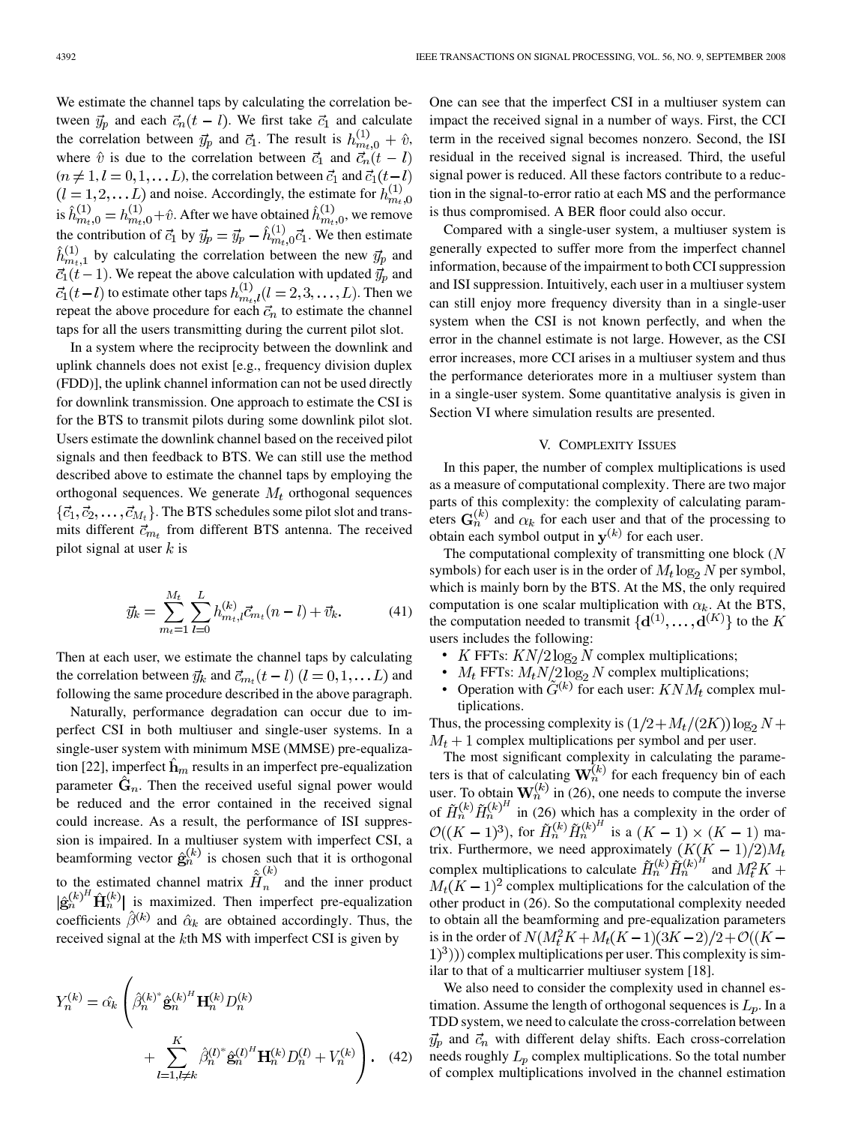We estimate the channel taps by calculating the correlation between  $\vec{y}_p$  and each  $\vec{c}_n(t-l)$ . We first take  $\vec{c}_1$  and calculate the correlation between  $\vec{y}_p$  and  $\vec{c}_1$ . The result is  $h_{m_t,0}^{(1)} + \hat{v}$ , where  $\hat{v}$  is due to the correlation between  $\vec{c}_1$  and  $\vec{c}_n(t-l)$  $(n \neq 1, l = 0, 1, \dots L)$ , the correlation between  $\vec{c}_1$  and  $\vec{c}_1(t-l)$  $(l = 1, 2, \dots L)$  and noise. Accordingly, the estimate for  $h_{m_t,0}^{(1)}$ is  $h_{m+0}^{(1)} = h_{m+0}^{(1)} + \hat{v}$ . After we have obtained  $h_{m+0}^{(1)}$ , we remove the contribution of  $\vec{c}_1$  by  $\vec{y}_p = \vec{y}_p - h_{m+0}^{(1)} \vec{c}_1$ . We then estimate  $\hat{h}_{m+1}^{(1)}$  by calculating the correlation between the new  $\vec{y}_p$  and  $\vec{c}_1(t-1)$ . We repeat the above calculation with updated  $\vec{y}_p$  and  $t_1(t-l)$  to estimate other taps  $h_{m_t,l}^{(1)}(l=2,3,\ldots,L)$ . Then we repeat the above procedure for each  $\vec{c}_n$  to estimate the channel taps for all the users transmitting during the current pilot slot.

In a system where the reciprocity between the downlink and uplink channels does not exist [e.g., frequency division duplex (FDD)], the uplink channel information can not be used directly for downlink transmission. One approach to estimate the CSI is for the BTS to transmit pilots during some downlink pilot slot. Users estimate the downlink channel based on the received pilot signals and then feedback to BTS. We can still use the method described above to estimate the channel taps by employing the orthogonal sequences. We generate  $M_t$  orthogonal sequences  $\{\vec{c}_1, \vec{c}_2, \dots, \vec{c}_{M_t}\}.$  The BTS schedules some pilot slot and transmits different  $\vec{c}_{m_t}$  from different BTS antenna. The received pilot signal at user  $k$  is

$$
\vec{y}_k = \sum_{m_t=1}^{M_t} \sum_{l=0}^{L} h_{m_t,l}^{(k)} \vec{c}_{m_t}(n-l) + \vec{v}_k.
$$
 (41)

Then at each user, we estimate the channel taps by calculating the correlation between  $\vec{y}_k$  and  $\vec{c}_{m_t}(t-l)$   $(l = 0, 1, \dots L)$  and following the same procedure described in the above paragraph.

Naturally, performance degradation can occur due to imperfect CSI in both multiuser and single-user systems. In a single-user system with minimum MSE (MMSE) pre-equalization [22], imperfect  $\mathbf{h}_m$  results in an imperfect pre-equalization parameter  $\hat{G}_n$ . Then the received useful signal power would be reduced and the error contained in the received signal could increase. As a result, the performance of ISI suppression is impaired. In a multiuser system with imperfect CSI, a beamforming vector  $\hat{\mathbf{g}}_n^{(k)}$  is chosen such that it is orthogonal to the estimated channel matrix  $H_n$  and the inner product  $|\hat{\mathbf{g}}_n^{(k)}|^H \hat{\mathbf{H}}_n^{(k)}|$  is maximized. Then imperfect pre-equalization coefficients  $\hat{\beta}^{(k)}$  and  $\hat{\alpha}_k$  are obtained accordingly. Thus, the received signal at the  $k$ th MS with imperfect CSI is given by

$$
Y_n^{(k)} = \hat{\alpha_k} \left( \hat{\beta}_n^{(k)^*} \hat{\mathbf{g}}_n^{(k)^H} \mathbf{H}_n^{(k)} D_n^{(k)} + \sum_{l=1, l \neq k}^K \hat{\beta}_n^{(l)^*} \hat{\mathbf{g}}_n^{(l)^H} \mathbf{H}_n^{(k)} D_n^{(l)} + V_n^{(k)} \right). \tag{42}
$$

One can see that the imperfect CSI in a multiuser system can impact the received signal in a number of ways. First, the CCI term in the received signal becomes nonzero. Second, the ISI residual in the received signal is increased. Third, the useful signal power is reduced. All these factors contribute to a reduction in the signal-to-error ratio at each MS and the performance is thus compromised. A BER floor could also occur.

Compared with a single-user system, a multiuser system is generally expected to suffer more from the imperfect channel information, because of the impairment to both CCI suppression and ISI suppression. Intuitively, each user in a multiuser system can still enjoy more frequency diversity than in a single-user system when the CSI is not known perfectly, and when the error in the channel estimate is not large. However, as the CSI error increases, more CCI arises in a multiuser system and thus the performance deteriorates more in a multiuser system than in a single-user system. Some quantitative analysis is given in Section VI where simulation results are presented.

## V. COMPLEXITY ISSUES

In this paper, the number of complex multiplications is used as a measure of computational complexity. There are two major parts of this complexity: the complexity of calculating parameters  $G_n^{(k)}$  and  $\alpha_k$  for each user and that of the processing to obtain each symbol output in  $y^{(k)}$  for each user.

The computational complexity of transmitting one block  $(N)$ symbols) for each user is in the order of  $M_t \log_2 N$  per symbol, which is mainly born by the BTS. At the MS, the only required computation is one scalar multiplication with  $\alpha_k$ . At the BTS, the computation needed to transmit  $\{d^{(1)},...,d^{(K)}\}$  to the K users includes the following:

- K FFTs:  $KN/2 \log_2 N$  complex multiplications;
- $M_t$  FFTs:  $M_t N/2 \log_2 N$  complex multiplications;
- Operation with  $\tilde{G}^{(k)}$  for each user:  $KNM_t$  complex multiplications.

Thus, the processing complexity is  $(1/2 + M_t/(2K)) \log_2 N +$  $M_t + 1$  complex multiplications per symbol and per user.

The most significant complexity in calculating the parameters is that of calculating  $W_n^{(k)}$  for each frequency bin of each user. To obtain  $\mathbf{W}_n^{(k)}$  in (26), one needs to compute the inverse of  $\tilde{H}_n^{(k)} \tilde{H}_n^{(k)H}$  in (26) which has a complexity in the order of  $\mathcal{O}((K-1)^3)$ , for  $\tilde{H}_n^{(k)} \tilde{H}_n^{(k)H}$  is a  $(K-1) \times (K-1)$  matrix. Furthermore, we need approximately  $(K(K-1)/2)M_t$ complex multiplications to calculate  $\tilde{H}_n^{(k)} \tilde{H}_n^{(k)H}$  and  $\tilde{M}_k^2 K$  +  $M_t(K-1)^2$  complex multiplications for the calculation of the other product in (26). So the computational complexity needed to obtain all the beamforming and pre-equalization parameters is in the order of  $N(M_t^2K + M_t(K-1)(3K-2)/2 + \mathcal{O}((K (1)^3$ )) complex multiplications per user. This complexity is similar to that of a multicarrier multiuser system [18].

We also need to consider the complexity used in channel estimation. Assume the length of orthogonal sequences is  $L_p$ . In a TDD system, we need to calculate the cross-correlation between  $\vec{y}_p$  and  $\vec{c}_n$  with different delay shifts. Each cross-correlation needs roughly  $L_p$  complex multiplications. So the total number of complex multiplications involved in the channel estimation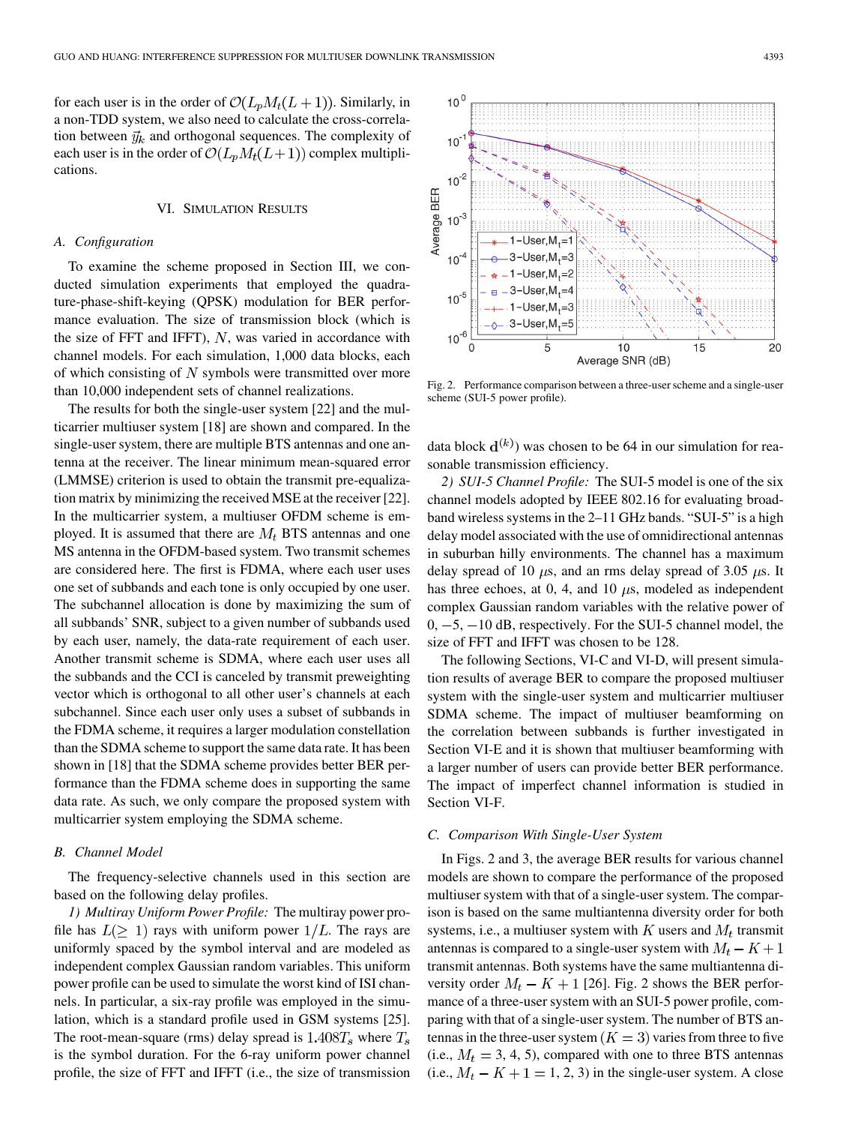for each user is in the order of  $\mathcal{O}(L_pM_t(L+1))$ . Similarly, in a non-TDD system, we also need to calculate the cross-correlation between  $\vec{y}_k$  and orthogonal sequences. The complexity of each user is in the order of  $\mathcal{O}(L_pM_t(L+1))$  complex multiplications.

## VI. SIMULATION RESULTS

#### *A. Configuration*

To examine the scheme proposed in Section III, we conducted simulation experiments that employed the quadrature-phase-shift-keying (QPSK) modulation for BER performance evaluation. The size of transmission block (which is the size of FFT and IFFT),  $N$ , was varied in accordance with channel models. For each simulation, 1,000 data blocks, each of which consisting of  $N$  symbols were transmitted over more than 10,000 independent sets of channel realizations.

The results for both the single-user system [22] and the multicarrier multiuser system [18] are shown and compared. In the single-user system, there are multiple BTS antennas and one antenna at the receiver. The linear minimum mean-squared error (LMMSE) criterion is used to obtain the transmit pre-equalization matrix by minimizing the received MSE at the receiver [22]. In the multicarrier system, a multiuser OFDM scheme is employed. It is assumed that there are  $M_t$  BTS antennas and one MS antenna in the OFDM-based system. Two transmit schemes are considered here. The first is FDMA, where each user uses one set of subbands and each tone is only occupied by one user. The subchannel allocation is done by maximizing the sum of all subbands' SNR, subject to a given number of subbands used by each user, namely, the data-rate requirement of each user. Another transmit scheme is SDMA, where each user uses all the subbands and the CCI is canceled by transmit preweighting vector which is orthogonal to all other user's channels at each subchannel. Since each user only uses a subset of subbands in the FDMA scheme, it requires a larger modulation constellation than the SDMA scheme to support the same data rate. It has been shown in [18] that the SDMA scheme provides better BER performance than the FDMA scheme does in supporting the same data rate. As such, we only compare the proposed system with multicarrier system employing the SDMA scheme.

## *B. Channel Model*

The frequency-selective channels used in this section are based on the following delay profiles.

*1) Multiray Uniform Power Profile:* The multiray power profile has  $L(\geq 1)$  rays with uniform power  $1/L$ . The rays are uniformly spaced by the symbol interval and are modeled as independent complex Gaussian random variables. This uniform power profile can be used to simulate the worst kind of ISI channels. In particular, a six-ray profile was employed in the simulation, which is a standard profile used in GSM systems [25]. The root-mean-square (rms) delay spread is  $1.408T_s$  where  $T_s$ is the symbol duration. For the 6-ray uniform power channel profile, the size of FFT and IFFT (i.e., the size of transmission



Fig. 2. Performance comparison between a three-user scheme and a single-user scheme (SUI-5 power profile).

data block  $\mathbf{d}^{(k)}$ ) was chosen to be 64 in our simulation for reasonable transmission efficiency.

*2) SUI-5 Channel Profile:* The SUI-5 model is one of the six channel models adopted by IEEE 802.16 for evaluating broadband wireless systems in the 2–11 GHz bands. "SUI-5" is a high delay model associated with the use of omnidirectional antennas in suburban hilly environments. The channel has a maximum delay spread of 10  $\mu$ s, and an rms delay spread of 3.05  $\mu$ s. It has three echoes, at 0, 4, and 10  $\mu$ s, modeled as independent complex Gaussian random variables with the relative power of  $0, -5, -10$  dB, respectively. For the SUI-5 channel model, the size of FFT and IFFT was chosen to be 128.

The following Sections, VI-C and VI-D, will present simulation results of average BER to compare the proposed multiuser system with the single-user system and multicarrier multiuser SDMA scheme. The impact of multiuser beamforming on the correlation between subbands is further investigated in Section VI-E and it is shown that multiuser beamforming with a larger number of users can provide better BER performance. The impact of imperfect channel information is studied in Section VI-F.

## *C. Comparison With Single-User System*

In Figs. 2 and 3, the average BER results for various channel models are shown to compare the performance of the proposed multiuser system with that of a single-user system. The comparison is based on the same multiantenna diversity order for both systems, i.e., a multiuser system with  $K$  users and  $M_t$  transmit antennas is compared to a single-user system with  $M_t - K + 1$ transmit antennas. Both systems have the same multiantenna diversity order  $M_t - K + 1$  [26]. Fig. 2 shows the BER performance of a three-user system with an SUI-5 power profile, comparing with that of a single-user system. The number of BTS antennas in the three-user system ( $K = 3$ ) varies from three to five (i.e.,  $M_t = 3, 4, 5$ ), compared with one to three BTS antennas (i.e.,  $M_t - K + 1 = 1, 2, 3$ ) in the single-user system. A close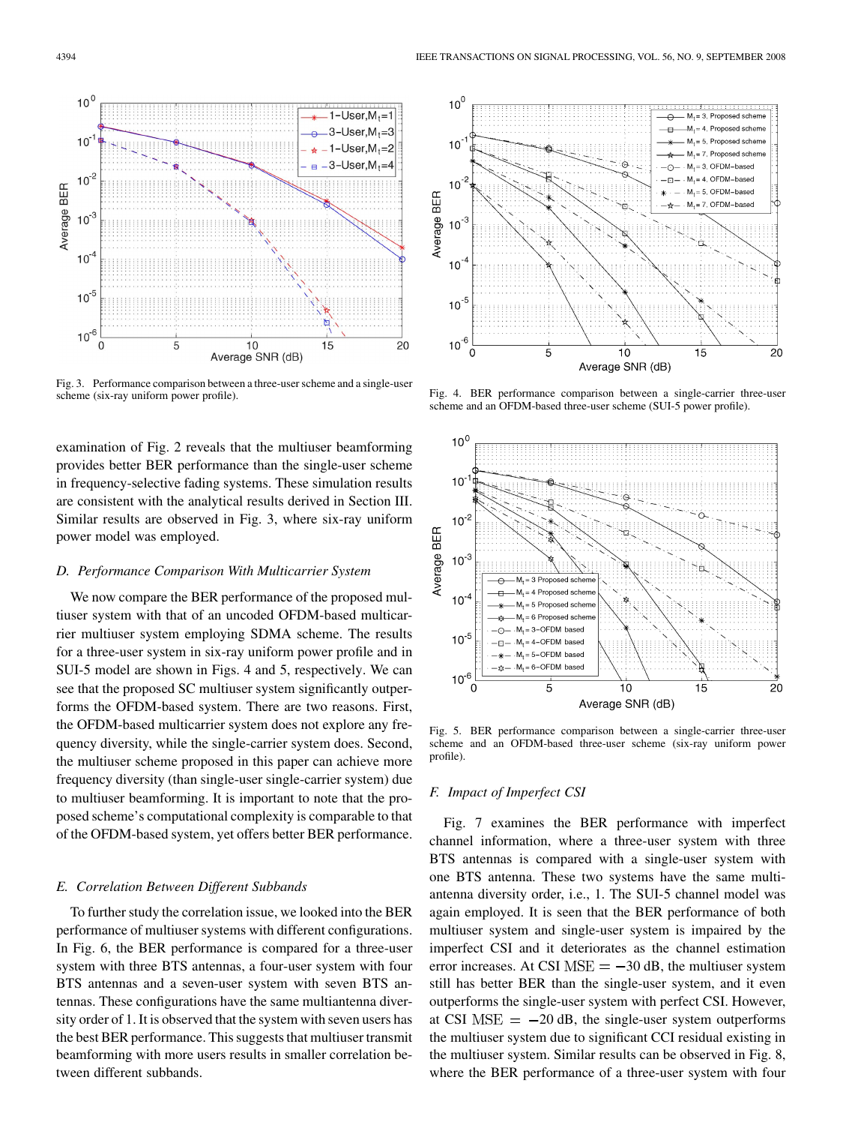

Fig. 3. Performance comparison between a three-user scheme and a single-user scheme (six-ray uniform power profile).

examination of Fig. 2 reveals that the multiuser beamforming provides better BER performance than the single-user scheme in frequency-selective fading systems. These simulation results are consistent with the analytical results derived in Section III. Similar results are observed in Fig. 3, where six-ray uniform power model was employed.

## *D. Performance Comparison With Multicarrier System*

We now compare the BER performance of the proposed multiuser system with that of an uncoded OFDM-based multicarrier multiuser system employing SDMA scheme. The results for a three-user system in six-ray uniform power profile and in SUI-5 model are shown in Figs. 4 and 5, respectively. We can see that the proposed SC multiuser system significantly outperforms the OFDM-based system. There are two reasons. First, the OFDM-based multicarrier system does not explore any frequency diversity, while the single-carrier system does. Second, the multiuser scheme proposed in this paper can achieve more frequency diversity (than single-user single-carrier system) due to multiuser beamforming. It is important to note that the proposed scheme's computational complexity is comparable to that of the OFDM-based system, yet offers better BER performance.

#### *E. Correlation Between Different Subbands*

To further study the correlation issue, we looked into the BER performance of multiuser systems with different configurations. In Fig. 6, the BER performance is compared for a three-user system with three BTS antennas, a four-user system with four BTS antennas and a seven-user system with seven BTS antennas. These configurations have the same multiantenna diversity order of 1. It is observed that the system with seven users has the best BER performance. This suggests that multiuser transmit beamforming with more users results in smaller correlation between different subbands.



Fig. 4. BER performance comparison between a single-carrier three-user scheme and an OFDM-based three-user scheme (SUI-5 power profile).



Fig. 5. BER performance comparison between a single-carrier three-user scheme and an OFDM-based three-user scheme (six-ray uniform power profile).

## *F. Impact of Imperfect CSI*

Fig. 7 examines the BER performance with imperfect channel information, where a three-user system with three BTS antennas is compared with a single-user system with one BTS antenna. These two systems have the same multiantenna diversity order, i.e., 1. The SUI-5 channel model was again employed. It is seen that the BER performance of both multiuser system and single-user system is impaired by the imperfect CSI and it deteriorates as the channel estimation error increases. At CSI  $MSE = -30$  dB, the multiuser system still has better BER than the single-user system, and it even outperforms the single-user system with perfect CSI. However, at CSI  $MSE = -20$  dB, the single-user system outperforms the multiuser system due to significant CCI residual existing in the multiuser system. Similar results can be observed in Fig. 8, where the BER performance of a three-user system with four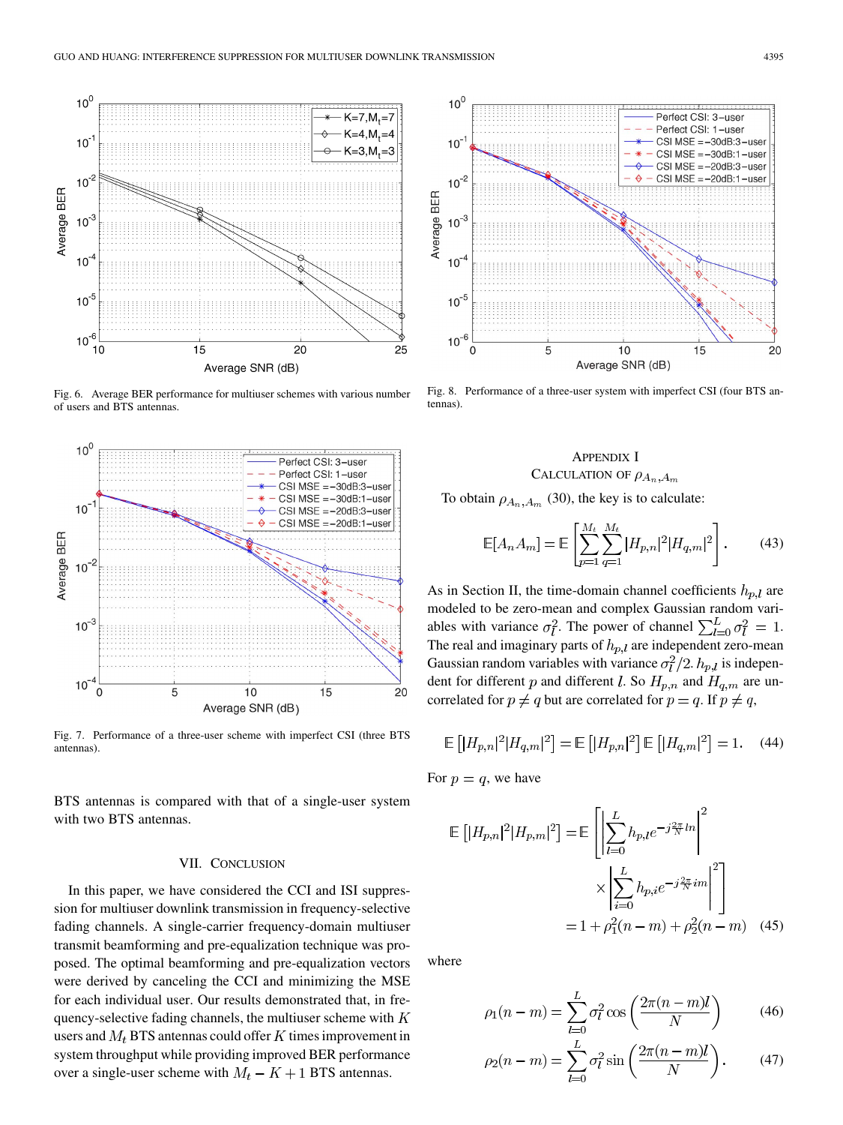

Fig. 6. Average BER performance for multiuser schemes with various number of users and BTS antennas.



Fig. 7. Performance of a three-user scheme with imperfect CSI (three BTS antennas).

BTS antennas is compared with that of a single-user system with two BTS antennas.

## VII. CONCLUSION

In this paper, we have considered the CCI and ISI suppression for multiuser downlink transmission in frequency-selective fading channels. A single-carrier frequency-domain multiuser transmit beamforming and pre-equalization technique was proposed. The optimal beamforming and pre-equalization vectors were derived by canceling the CCI and minimizing the MSE for each individual user. Our results demonstrated that, in frequency-selective fading channels, the multiuser scheme with  $K$ users and  $M_t$  BTS antennas could offer K times improvement in system throughput while providing improved BER performance over a single-user scheme with  $M_t - K + 1$  BTS antennas.



Fig. 8. Performance of a three-user system with imperfect CSI (four BTS antennas).

## APPENDIX I CALCULATION OF  $\rho_{A_n,A_m}$

To obtain  $\rho_{A_n, A_m}$  (30), the key is to calculate:

$$
\mathbb{E}[A_n A_m] = \mathbb{E}\left[\sum_{p=1}^{M_t} \sum_{q=1}^{M_t} |H_{p,n}|^2 |H_{q,m}|^2\right].
$$
 (43)

As in Section II, the time-domain channel coefficients  $h_{p,l}$  are modeled to be zero-mean and complex Gaussian random variables with variance  $\sigma_l^2$ . The power of channel  $\sum_{l=0}^{L} \sigma_l^2 = 1$ . The real and imaginary parts of  $h_{p,l}$  are independent zero-mean Gaussian random variables with variance  $\sigma_l^2/2$ .  $h_{p,l}$  is independent for different p and different l. So  $H_{p,n}$  and  $H_{q,m}$  are uncorrelated for  $p \neq q$  but are correlated for  $p = q$ . If  $p \neq q$ ,

$$
\mathbb{E}\left[|H_{p,n}|^2|H_{q,m}|^2\right] = \mathbb{E}\left[|H_{p,n}|^2\right] \mathbb{E}\left[|H_{q,m}|^2\right] = 1. \quad (44)
$$

For  $p = q$ , we have

$$
\mathbb{E}\left[|H_{p,n}|^2|H_{p,m}|^2\right] = \mathbb{E}\left[\left|\sum_{l=0}^L h_{p,l}e^{-j\frac{2\pi}{N}ln}\right|^2\right] \\
\times \left|\sum_{i=0}^L h_{p,i}e^{-j\frac{2\pi}{N}im}\right|^2\right] \\
= 1 + \rho_1^2(n-m) + \rho_2^2(n-m) \quad (45)
$$

where

$$
\rho_1(n - m) = \sum_{l=0}^{L} \sigma_l^2 \cos\left(\frac{2\pi(n - m)l}{N}\right)
$$
(46)

$$
\rho_2(n-m) = \sum_{l=0}^{L} \sigma_l^2 \sin\left(\frac{2\pi(n-m)l}{N}\right).
$$
 (47)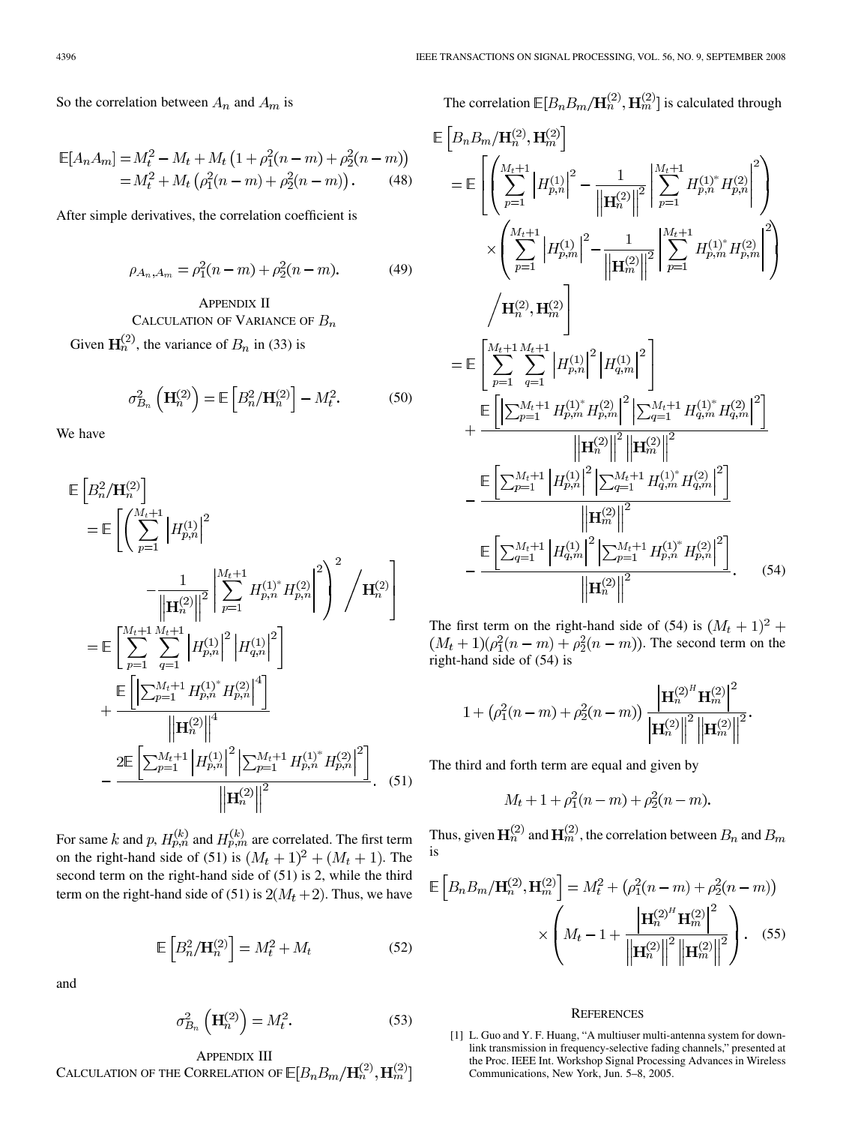So the correlation between  $A_n$  and  $A_m$  is

$$
\mathbb{E}[A_n A_m] = M_t^2 - M_t + M_t \left(1 + \rho_1^2 (n - m) + \rho_2^2 (n - m)\right)
$$
  
=  $M_t^2 + M_t \left(\rho_1^2 (n - m) + \rho_2^2 (n - m)\right)$ . (48)

After simple derivatives, the correlation coefficient is

$$
\rho_{A_n, A_m} = \rho_1^2(n - m) + \rho_2^2(n - m). \tag{49}
$$

APPENDIX II CALCULATION OF VARIANCE OF  $B_n$ Given  $\mathbf{H}_n^{(2)}$ , the variance of  $B_n$  in (33) is

$$
\sigma_{B_n}^2\left(\mathbf{H}_n^{(2)}\right) = \mathbb{E}\left[B_n^2/\mathbf{H}_n^{(2)}\right] - M_t^2. \tag{50}
$$

We have

$$
\mathbb{E}\left[B_n^2 / \mathbf{H}_n^{(2)}\right] = \mathbb{E}\left[\left(\sum_{p=1}^{M_t+1} \left|H_{p,n}^{(1)}\right|^2 - \frac{1}{\left|\mathbf{H}_n^{(2)}\right|\right|^2} \left|\sum_{p=1}^{M_t+1} H_{p,n}^{(1)^*} H_{p,n}^{(2)}\right|^2\right)^2 / \mathbf{H}_n^{(2)}\right]
$$
\n
$$
= \mathbb{E}\left[\sum_{p=1}^{M_t+1} \sum_{q=1}^{M_t+1} \left|H_{p,n}^{(1)}\right|^2 \left|H_{q,n}^{(1)}\right|^2\right]
$$
\n
$$
+ \frac{\mathbb{E}\left[\left|\sum_{p=1}^{M_t+1} H_{p,n}^{(1)^*} H_{p,n}^{(2)}\right|^4\right]}{\left|\left|\mathbf{H}_n^{(2)}\right|\right|^4}
$$
\n
$$
- \frac{2\mathbb{E}\left[\sum_{p=1}^{M_t+1} \left|H_{p,n}^{(1)}\right|^2 \left|\sum_{p=1}^{M_t+1} H_{p,n}^{(1)^*} H_{p,n}^{(2)}\right|^2\right]}{\left|\left|\mathbf{H}_n^{(2)}\right|\right|^2}.
$$
\n(51)

For same k and p,  $H_{p,n}^{(k)}$  and  $H_{p,m}^{(k)}$  are correlated. The first term on the right-hand side of (51) is  $(M_t + 1)^2 + (M_t + 1)$ . The second term on the right-hand side of (51) is 2, while the third term on the right-hand side of (51) is  $2(M_t + 2)$ . Thus, we have

$$
\mathbb{E}\left[B_n^2/\mathbf{H}_n^{(2)}\right] = M_t^2 + M_t \tag{52}
$$

and

$$
\sigma_{B_n}^2\left(\mathbf{H}_n^{(2)}\right) = M_t^2. \tag{53}
$$

APPENDIX III CALCULATION OF THE CORRELATION OF  $\mathbb{E}[B_n B_m/\mathbf{H}_n^{(2)},\mathbf{H}_m^{(2)}]$  The correlation  $\mathbb{E}[B_n B_m/\mathbf{H}_n^{(2)}, \mathbf{H}_m^{(2)}]$  is calculated through

$$
\mathbb{E}\left[B_n B_m / \mathbf{H}_n^{(2)}, \mathbf{H}_m^{(2)}\right]
$$
\n
$$
= \mathbb{E}\left[\left(\sum_{p=1}^{M_t+1} \left|H_{p,n}^{(1)}\right|^2 - \frac{1}{\left\|\mathbf{H}_n^{(2)}\right\|^2} \left|\sum_{p=1}^{M_t+1} H_{p,n}^{(1)*} H_{p,n}^{(2)}\right|^2\right)\right]
$$
\n
$$
\times \left(\sum_{p=1}^{M_t+1} \left|H_{p,m}^{(1)}\right|^2 - \frac{1}{\left\|\mathbf{H}_m^{(2)}\right\|^2} \left|\sum_{p=1}^{M_t+1} H_{p,m}^{(1)*} H_{p,m}^{(2)}\right|^2\right)
$$
\n
$$
\left\langle \mathbf{H}_n^{(2)}, \mathbf{H}_m^{(2)}\right]
$$
\n
$$
= \mathbb{E}\left[\sum_{p=1}^{M_t+1} \sum_{q=1}^{M_t+1} \left|H_{p,n}^{(1)}\right|^2 \left|H_{q,m}^{(1)}\right|^2\right]
$$
\n
$$
+ \frac{\mathbb{E}\left[\left|\sum_{p=1}^{M_t+1} H_{p,m}^{(1)*} H_{p,m}^{(2)}\right|^2 \left|\sum_{q=1}^{M_t+1} H_{q,m}^{(1)*} H_{q,m}^{(2)}\right|^2\right]}{\left\|\mathbf{H}_n^{(2)}\right\|^2 \left\|\mathbf{H}_m^{(2)}\right\|^2}
$$
\n
$$
- \frac{\mathbb{E}\left[\sum_{p=1}^{M_t+1} \left|H_{p,n}^{(1)}\right|^2 \left|\sum_{q=1}^{M_t+1} H_{q,m}^{(1)*} H_{q,m}^{(2)}\right|^2\right]}{\left\|\mathbf{H}_m^{(2)}\right\|^2}
$$
\n
$$
- \frac{\left\|\mathbf{H}_n^{(2)}\right\|^2}{\left\|\mathbf{H}_n^{(2)}\right\|^2}
$$
\n
$$
- \frac{\left\|\mathbf{H}_n^{(2)}\right\|^2}{\left\|\mathbf{H}_n^{(2)}\right\|^2}
$$
\n(54)

The first term on the right-hand side of (54) is  $(M_t + 1)^2$  +  $(M_t + 1)(\rho_1^2(n-m) + \rho_2^2(n-m))$ . The second term on the right-hand side of (54) is

$$
1 + \left(\rho_1^2(n-m) + \rho_2^2(n-m)\right) \frac{\left|\mathbf{H}_n^{(2)}^H \mathbf{H}_m^{(2)}\right|^2}{\left|\mathbf{H}_n^{(2)}\right|^2 \left|\mathbf{H}_m^{(2)}\right|^2}.
$$

The third and forth term are equal and given by

$$
M_t + 1 + \rho_1^2(n - m) + \rho_2^2(n - m).
$$

Thus, given  $\mathbf{H}_n^{(2)}$  and  $\mathbf{H}_m^{(2)}$ , the correlation between  $B_n$  and  $B_m$ is

$$
\mathbb{E}\left[B_n B_m / \mathbf{H}_n^{(2)}, \mathbf{H}_m^{(2)}\right] = M_t^2 + \left(\rho_1^2 (n - m) + \rho_2^2 (n - m)\right)
$$

$$
\times \left(M_t - 1 + \frac{\left|\mathbf{H}_n^{(2)}\right|^2 \mathbf{H}_m^{(2)}\right|^2}{\left\|\mathbf{H}_n^{(2)}\right\|^2 \left\|\mathbf{H}_m^{(2)}\right\|^2}\right). \quad (55)
$$

#### **REFERENCES**

[1] L. Guo and Y. F. Huang, "A multiuser multi-antenna system for downlink transmission in frequency-selective fading channels," presented at the Proc. IEEE Int. Workshop Signal Processing Advances in Wireless Communications, New York, Jun. 5–8, 2005.